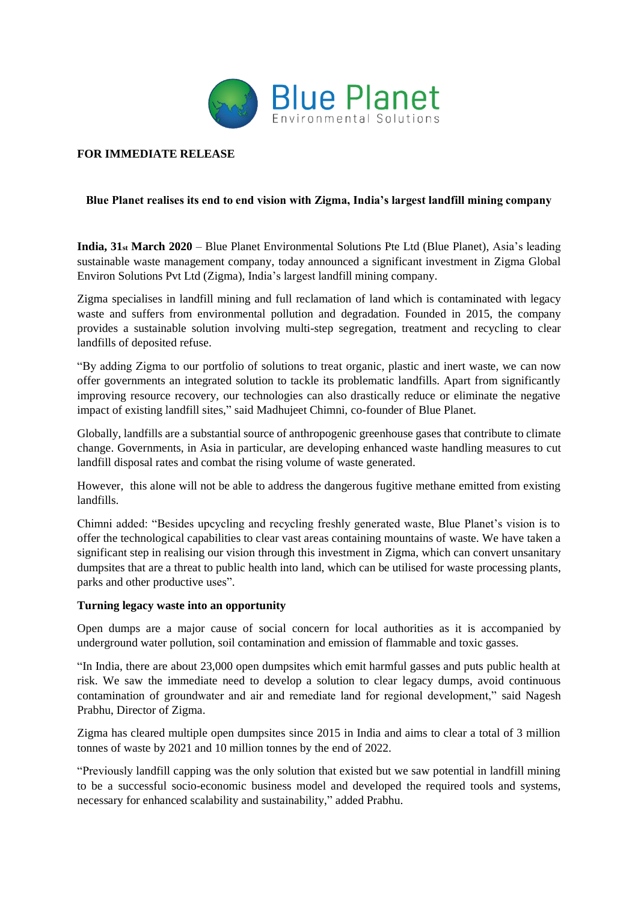

# **FOR IMMEDIATE RELEASE**

## **Blue Planet realises its end to end vision with Zigma, India's largest landfill mining company**

**India, 31st March 2020** – Blue Planet Environmental Solutions Pte Ltd (Blue Planet), Asia's leading sustainable waste management company, today announced a significant investment in Zigma Global Environ Solutions Pvt Ltd (Zigma), India's largest landfill mining company.

Zigma specialises in landfill mining and full reclamation of land which is contaminated with legacy waste and suffers from environmental pollution and degradation. Founded in 2015, the company provides a sustainable solution involving multi-step segregation, treatment and recycling to clear landfills of deposited refuse.

"By adding Zigma to our portfolio of solutions to treat organic, plastic and inert waste, we can now offer governments an integrated solution to tackle its problematic landfills. Apart from significantly improving resource recovery, our technologies can also drastically reduce or eliminate the negative impact of existing landfill sites," said Madhujeet Chimni, co-founder of Blue Planet.

Globally, landfills are a substantial source of anthropogenic greenhouse gases that contribute to climate change. Governments, in Asia in particular, are developing enhanced waste handling measures to cut landfill disposal rates and combat the rising volume of waste generated.

However, this alone will not be able to address the dangerous fugitive methane emitted from existing landfills.

Chimni added: "Besides upcycling and recycling freshly generated waste, Blue Planet's vision is to offer the technological capabilities to clear vast areas containing mountains of waste. We have taken a significant step in realising our vision through this investment in Zigma, which can convert unsanitary dumpsites that are a threat to public health into land, which can be utilised for waste processing plants, parks and other productive uses".

## **Turning legacy waste into an opportunity**

Open dumps are a major cause of social concern for local authorities as it is accompanied by underground water pollution, soil contamination and emission of flammable and toxic gasses.

"In India, there are about 23,000 open dumpsites which emit harmful gasses and puts public health at risk. We saw the immediate need to develop a solution to clear legacy dumps, avoid continuous contamination of groundwater and air and remediate land for regional development," said Nagesh Prabhu, Director of Zigma.

Zigma has cleared multiple open dumpsites since 2015 in India and aims to clear a total of 3 million tonnes of waste by 2021 and 10 million tonnes by the end of 2022.

"Previously landfill capping was the only solution that existed but we saw potential in landfill mining to be a successful socio-economic business model and developed the required tools and systems, necessary for enhanced scalability and sustainability," added Prabhu.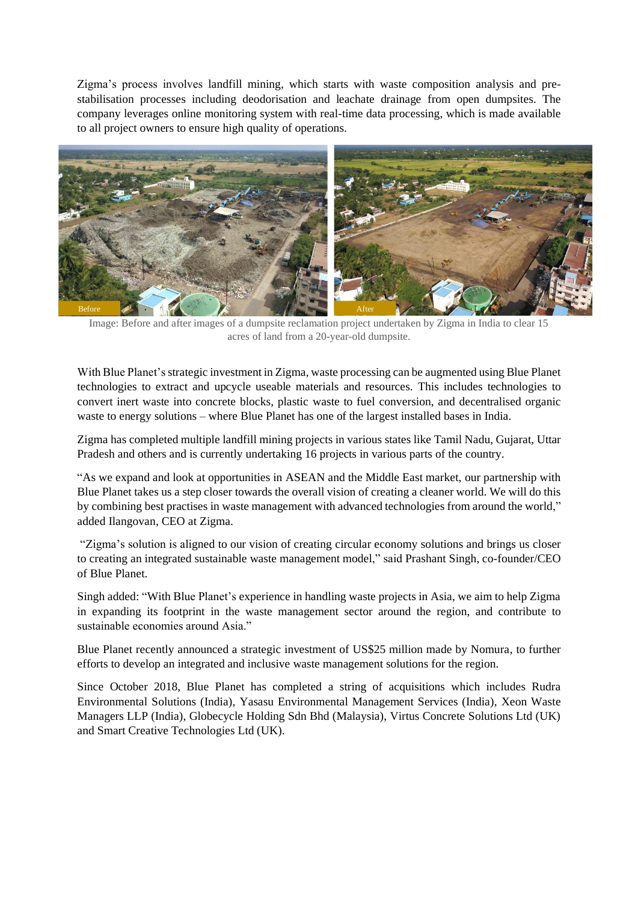Zigma's process involves landfill mining, which starts with waste composition analysis and prestabilisation processes including deodorisation and leachate drainage from open dumpsites. The company leverages online monitoring system with real-time data processing, which is made available to all project owners to ensure high quality of operations.



Image: Before and after images of a dumpsite reclamation project undertaken by Zigma in India to clear 15 acres of land from a 20-year-old dumpsite.

With Blue Planet's strategic investment in Zigma, waste processing can be augmented using Blue Planet technologies to extract and upcycle useable materials and resources. This includes technologies to convert inert waste into concrete blocks, plastic waste to fuel conversion, and decentralised organic waste to energy solutions – where Blue Planet has one of the largest installed bases in India.

Zigma has completed multiple landfill mining projects in various states like Tamil Nadu, Gujarat, Uttar Pradesh and others and is currently undertaking 16 projects in various parts of the country.

"As we expand and look at opportunities in ASEAN and the Middle East market, our partnership with Blue Planet takes us a step closer towards the overall vision of creating a cleaner world. We will do this by combining best practises in waste management with advanced technologies from around the world," added Ilangovan, CEO at Zigma.

"Zigma's solution is aligned to our vision of creating circular economy solutions and brings us closer to creating an integrated sustainable waste management model," said Prashant Singh, co-founder/CEO of Blue Planet.

Singh added: "With Blue Planet's experience in handling waste projects in Asia, we aim to help Zigma in expanding its footprint in the waste management sector around the region, and contribute to sustainable economies around Asia."

Blue Planet recently announced a strategic investment of US\$25 million made by Nomura, to further efforts to develop an integrated and inclusive waste management solutions for the region.

Since October 2018, Blue Planet has completed a string of acquisitions which includes Rudra Environmental Solutions (India), Yasasu Environmental Management Services (India), Xeon Waste Managers LLP (India), Globecycle Holding Sdn Bhd (Malaysia), Virtus Concrete Solutions Ltd (UK) and Smart Creative Technologies Ltd (UK).